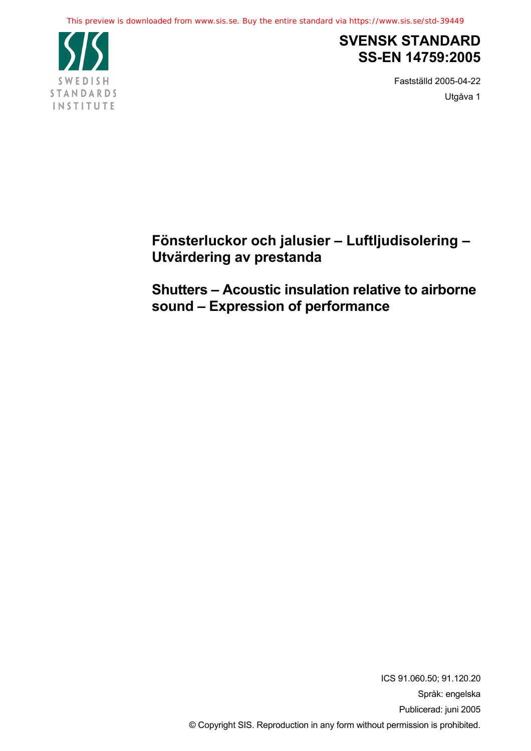

# **SVENSK STANDARD SS-EN 14759:2005**

Fastställd 2005-04-22 Utgåva 1

**Fönsterluckor och jalusier – Luftljudisolering – Utvärdering av prestanda**

**Shutters – Acoustic insulation relative to airborne sound – Expression of performance**

> ICS 91.060.50; 91.120.20 Språk: engelska Publicerad: juni 2005 © Copyright SIS. Reproduction in any form without permission is prohibited.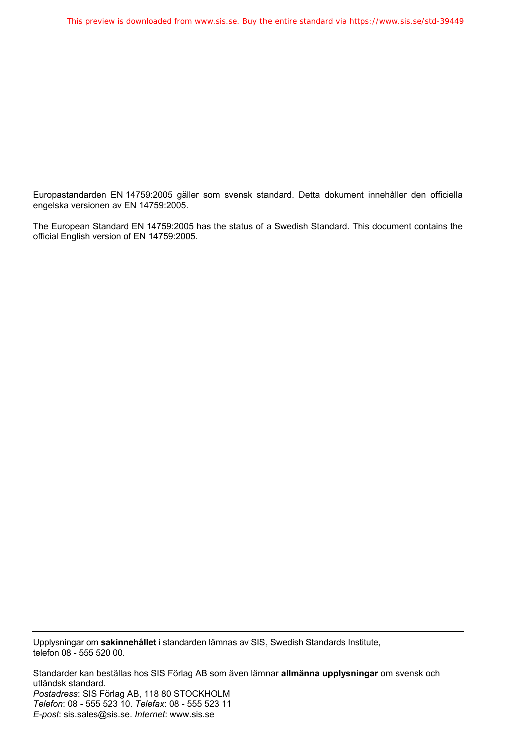Europastandarden EN 14759:2005 gäller som svensk standard. Detta dokument innehåller den officiella engelska versionen av EN 14759:2005.

The European Standard EN 14759:2005 has the status of a Swedish Standard. This document contains the official English version of EN 14759:2005.

Upplysningar om **sakinnehållet** i standarden lämnas av SIS, Swedish Standards Institute, telefon 08 - 555 520 00.

Standarder kan beställas hos SIS Förlag AB som även lämnar **allmänna upplysningar** om svensk och utländsk standard. *Postadress*: SIS Förlag AB, 118 80 STOCKHOLM *Telefon*: 08 - 555 523 10. *Telefax*: 08 - 555 523 11 *E-post*: sis.sales@sis.se. *Internet*: www.sis.se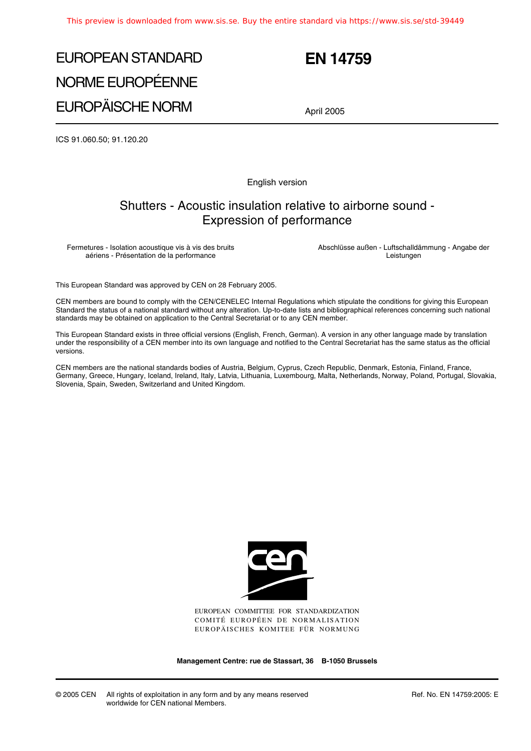# EUROPEAN STANDARD NORME EUROPÉENNE EUROPÄISCHE NORM

# **EN 14759**

April 2005

ICS 91.060.50; 91.120.20

English version

## Shutters - Acoustic insulation relative to airborne sound - Expression of performance

Fermetures - Isolation acoustique vis à vis des bruits aériens - Présentation de la performance

Abschlüsse außen - Luftschalldämmung - Angabe der Leistungen

This European Standard was approved by CEN on 28 February 2005.

CEN members are bound to comply with the CEN/CENELEC Internal Regulations which stipulate the conditions for giving this European Standard the status of a national standard without any alteration. Up-to-date lists and bibliographical references concerning such national standards may be obtained on application to the Central Secretariat or to any CEN member.

This European Standard exists in three official versions (English, French, German). A version in any other language made by translation under the responsibility of a CEN member into its own language and notified to the Central Secretariat has the same status as the official versions.

CEN members are the national standards bodies of Austria, Belgium, Cyprus, Czech Republic, Denmark, Estonia, Finland, France, Germany, Greece, Hungary, Iceland, Ireland, Italy, Latvia, Lithuania, Luxembourg, Malta, Netherlands, Norway, Poland, Portugal, Slovakia, Slovenia, Spain, Sweden, Switzerland and United Kingdom.



EUROPEAN COMMITTEE FOR STANDARDIZATION COMITÉ EUROPÉEN DE NORMALISATION EUROPÄISCHES KOMITEE FÜR NORMUNG

**Management Centre: rue de Stassart, 36 B-1050 Brussels**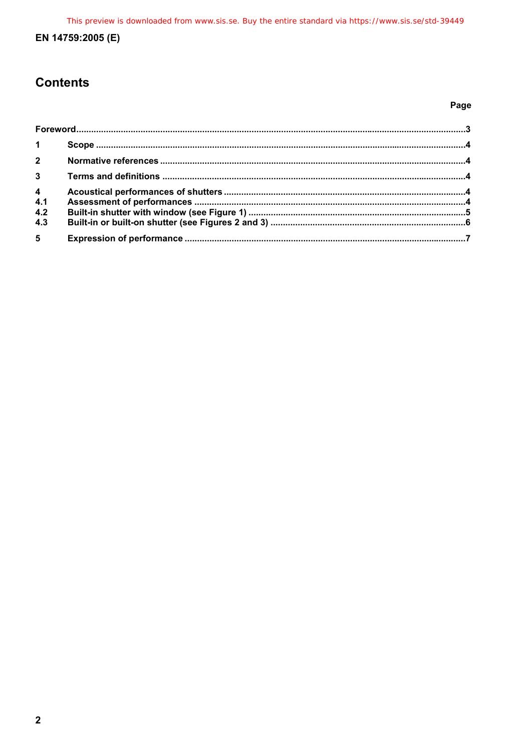### EN 14759:2005 (E)

# **Contents**

### Page

| 1                                            |  |  |
|----------------------------------------------|--|--|
| $2^{\circ}$                                  |  |  |
| 3 <sup>1</sup>                               |  |  |
| $\overline{\mathbf{4}}$<br>4.1<br>4.2<br>4.3 |  |  |
| 5 <sup>1</sup>                               |  |  |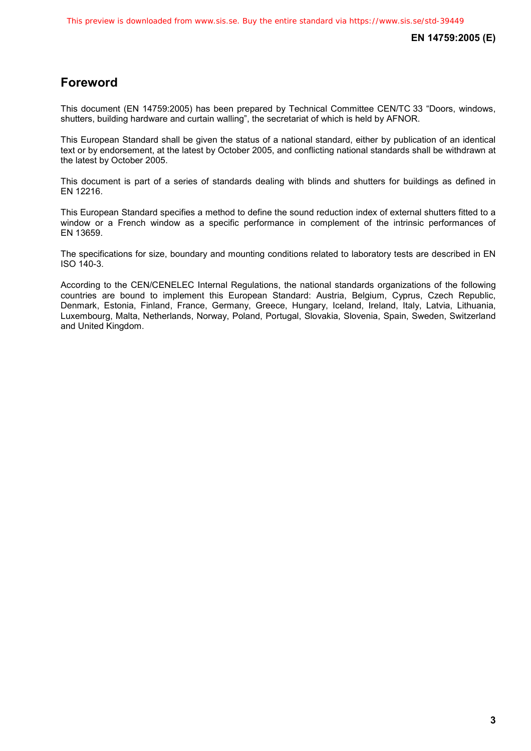# **Foreword**

This document (EN 14759:2005) has been prepared by Technical Committee CEN/TC 33 "Doors, windows, shutters, building hardware and curtain walling", the secretariat of which is held by AFNOR.

This European Standard shall be given the status of a national standard, either by publication of an identical text or by endorsement, at the latest by October 2005, and conflicting national standards shall be withdrawn at the latest by October 2005.

This document is part of a series of standards dealing with blinds and shutters for buildings as defined in EN 12216.

This European Standard specifies a method to define the sound reduction index of external shutters fitted to a window or a French window as a specific performance in complement of the intrinsic performances of EN 13659.

The specifications for size, boundary and mounting conditions related to laboratory tests are described in EN ISO 140-3.

According to the CEN/CENELEC Internal Regulations, the national standards organizations of the following countries are bound to implement this European Standard: Austria, Belgium, Cyprus, Czech Republic, Denmark, Estonia, Finland, France, Germany, Greece, Hungary, Iceland, Ireland, Italy, Latvia, Lithuania, Luxembourg, Malta, Netherlands, Norway, Poland, Portugal, Slovakia, Slovenia, Spain, Sweden, Switzerland and United Kingdom.